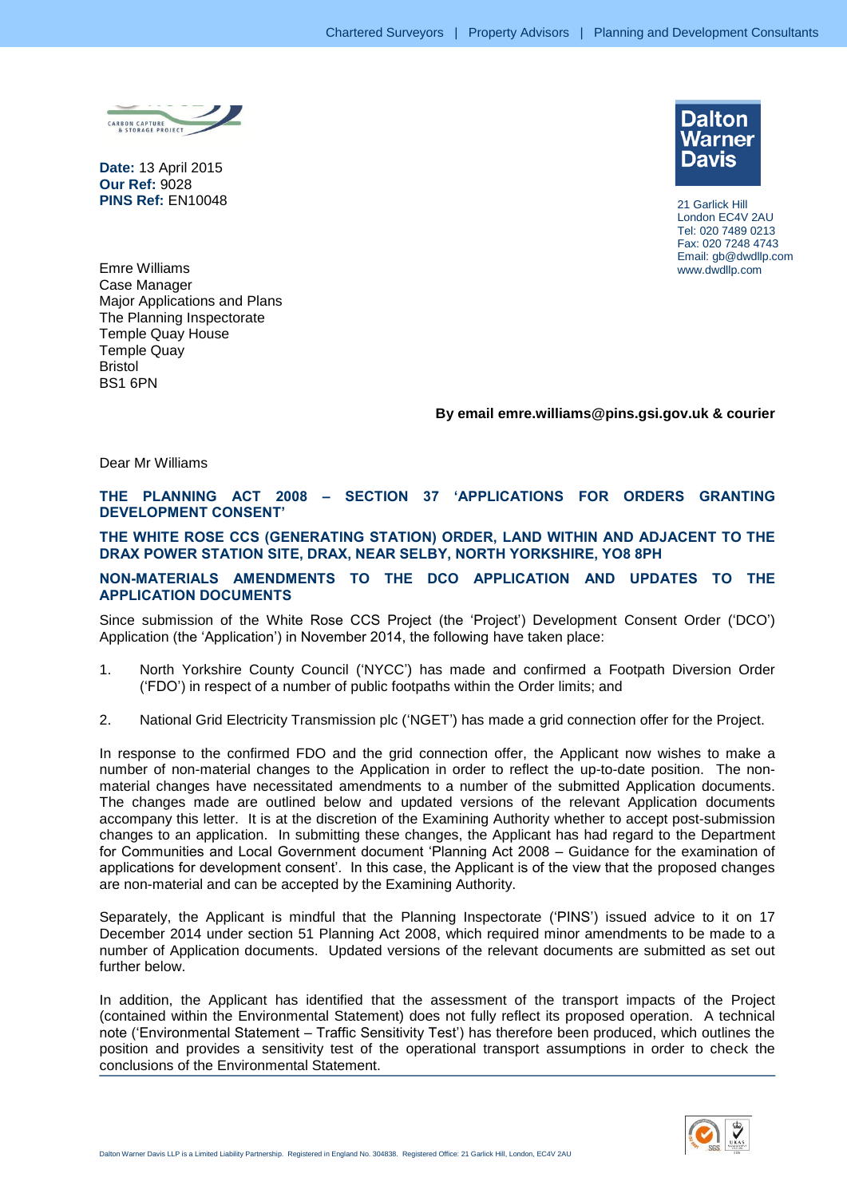

**Date:** 13 April 2015 **Our Ref:** 9028 **PINS Ref:** EN10048



21 Garlick Hill London EC4V 2AU Tel: 020 7489 0213 Fax: 020 7248 4743 Email: gb@dwdllp.com www.dwdllp.com

Emre Williams Case Manager Major Applications and Plans The Planning Inspectorate Temple Quay House Temple Quay Bristol BS1 6PN

# **By email emre.williams@pins.gsi.gov.uk & courier**

Dear Mr Williams

# **THE PLANNING ACT 2008 – SECTION 37 'APPLICATIONS FOR ORDERS GRANTING DEVELOPMENT CONSENT'**

#### **THE WHITE ROSE CCS (GENERATING STATION) ORDER, LAND WITHIN AND ADJACENT TO THE DRAX POWER STATION SITE, DRAX, NEAR SELBY, NORTH YORKSHIRE, YO8 8PH**

#### **NON-MATERIALS AMENDMENTS TO THE DCO APPLICATION AND UPDATES TO THE APPLICATION DOCUMENTS**

Since submission of the White Rose CCS Project (the 'Project') Development Consent Order ('DCO') Application (the 'Application') in November 2014, the following have taken place:

- 1. North Yorkshire County Council ('NYCC') has made and confirmed a Footpath Diversion Order ('FDO') in respect of a number of public footpaths within the Order limits; and
- 2. National Grid Electricity Transmission plc ('NGET') has made a grid connection offer for the Project.

In response to the confirmed FDO and the grid connection offer, the Applicant now wishes to make a number of non-material changes to the Application in order to reflect the up-to-date position. The nonmaterial changes have necessitated amendments to a number of the submitted Application documents. The changes made are outlined below and updated versions of the relevant Application documents accompany this letter. It is at the discretion of the Examining Authority whether to accept post-submission changes to an application. In submitting these changes, the Applicant has had regard to the Department for Communities and Local Government document 'Planning Act 2008 – Guidance for the examination of applications for development consent'. In this case, the Applicant is of the view that the proposed changes are non-material and can be accepted by the Examining Authority.

Separately, the Applicant is mindful that the Planning Inspectorate ('PINS') issued advice to it on 17 December 2014 under section 51 Planning Act 2008, which required minor amendments to be made to a number of Application documents. Updated versions of the relevant documents are submitted as set out further below.

In addition, the Applicant has identified that the assessment of the transport impacts of the Project (contained within the Environmental Statement) does not fully reflect its proposed operation. A technical note ('Environmental Statement – Traffic Sensitivity Test') has therefore been produced, which outlines the position and provides a sensitivity test of the operational transport assumptions in order to check the conclusions of the Environmental Statement.

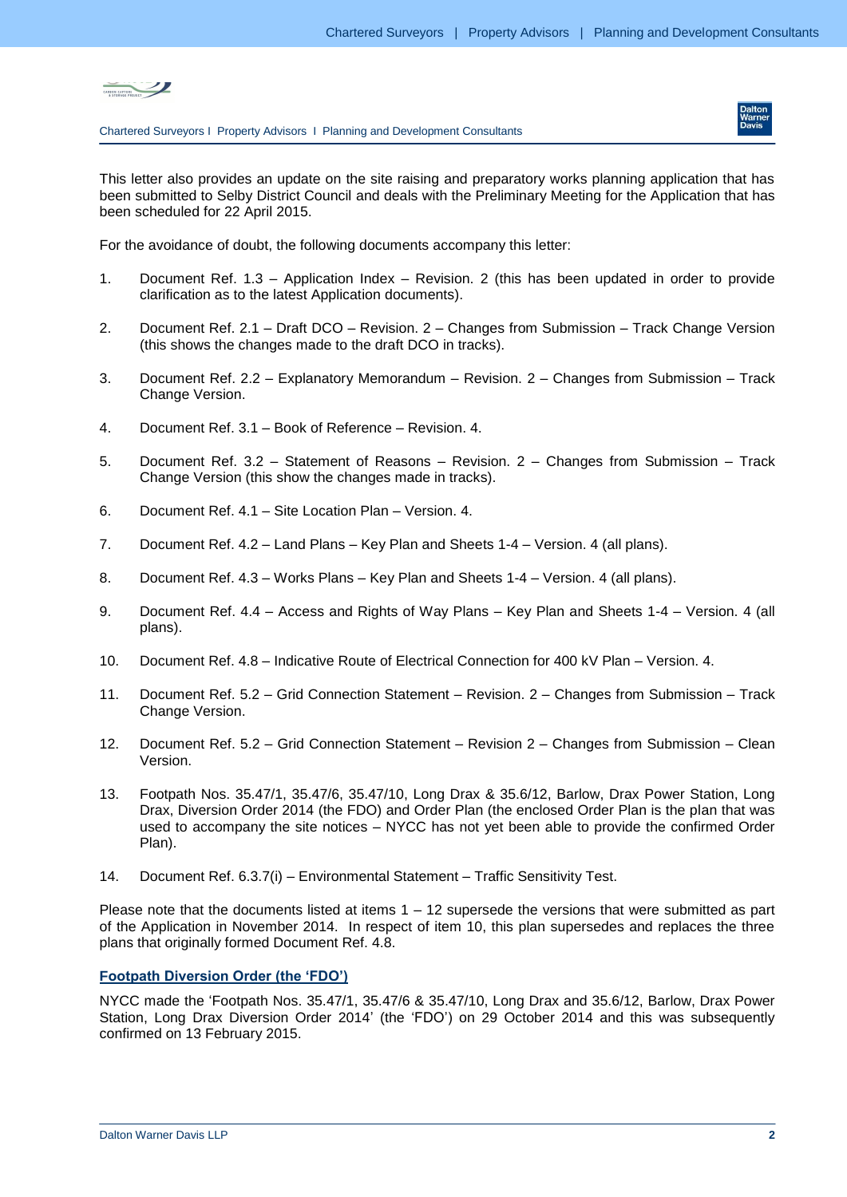



This letter also provides an update on the site raising and preparatory works planning application that has been submitted to Selby District Council and deals with the Preliminary Meeting for the Application that has been scheduled for 22 April 2015.

For the avoidance of doubt, the following documents accompany this letter:

- 1. Document Ref. 1.3 Application Index Revision. 2 (this has been updated in order to provide clarification as to the latest Application documents).
- 2. Document Ref. 2.1 Draft DCO Revision. 2 Changes from Submission Track Change Version (this shows the changes made to the draft DCO in tracks).
- 3. Document Ref. 2.2 Explanatory Memorandum Revision. 2 Changes from Submission Track Change Version.
- 4. Document Ref. 3.1 Book of Reference Revision. 4.
- 5. Document Ref. 3.2 Statement of Reasons Revision. 2 Changes from Submission Track Change Version (this show the changes made in tracks).
- 6. Document Ref. 4.1 Site Location Plan Version. 4.
- 7. Document Ref. 4.2 Land Plans Key Plan and Sheets 1-4 Version. 4 (all plans).
- 8. Document Ref. 4.3 Works Plans Key Plan and Sheets 1-4 Version. 4 (all plans).
- 9. Document Ref. 4.4 Access and Rights of Way Plans Key Plan and Sheets 1-4 Version. 4 (all plans).
- 10. Document Ref. 4.8 Indicative Route of Electrical Connection for 400 kV Plan Version. 4.
- 11. Document Ref. 5.2 Grid Connection Statement Revision. 2 Changes from Submission Track Change Version.
- 12. Document Ref. 5.2 Grid Connection Statement Revision 2 Changes from Submission Clean Version.
- 13. Footpath Nos. 35.47/1, 35.47/6, 35.47/10, Long Drax & 35.6/12, Barlow, Drax Power Station, Long Drax, Diversion Order 2014 (the FDO) and Order Plan (the enclosed Order Plan is the plan that was used to accompany the site notices – NYCC has not yet been able to provide the confirmed Order Plan).
- 14. Document Ref. 6.3.7(i) Environmental Statement Traffic Sensitivity Test.

Please note that the documents listed at items  $1 - 12$  supersede the versions that were submitted as part of the Application in November 2014. In respect of item 10, this plan supersedes and replaces the three plans that originally formed Document Ref. 4.8.

# **Footpath Diversion Order (the 'FDO')**

NYCC made the 'Footpath Nos. 35.47/1, 35.47/6 & 35.47/10, Long Drax and 35.6/12, Barlow, Drax Power Station, Long Drax Diversion Order 2014' (the 'FDO') on 29 October 2014 and this was subsequently confirmed on 13 February 2015.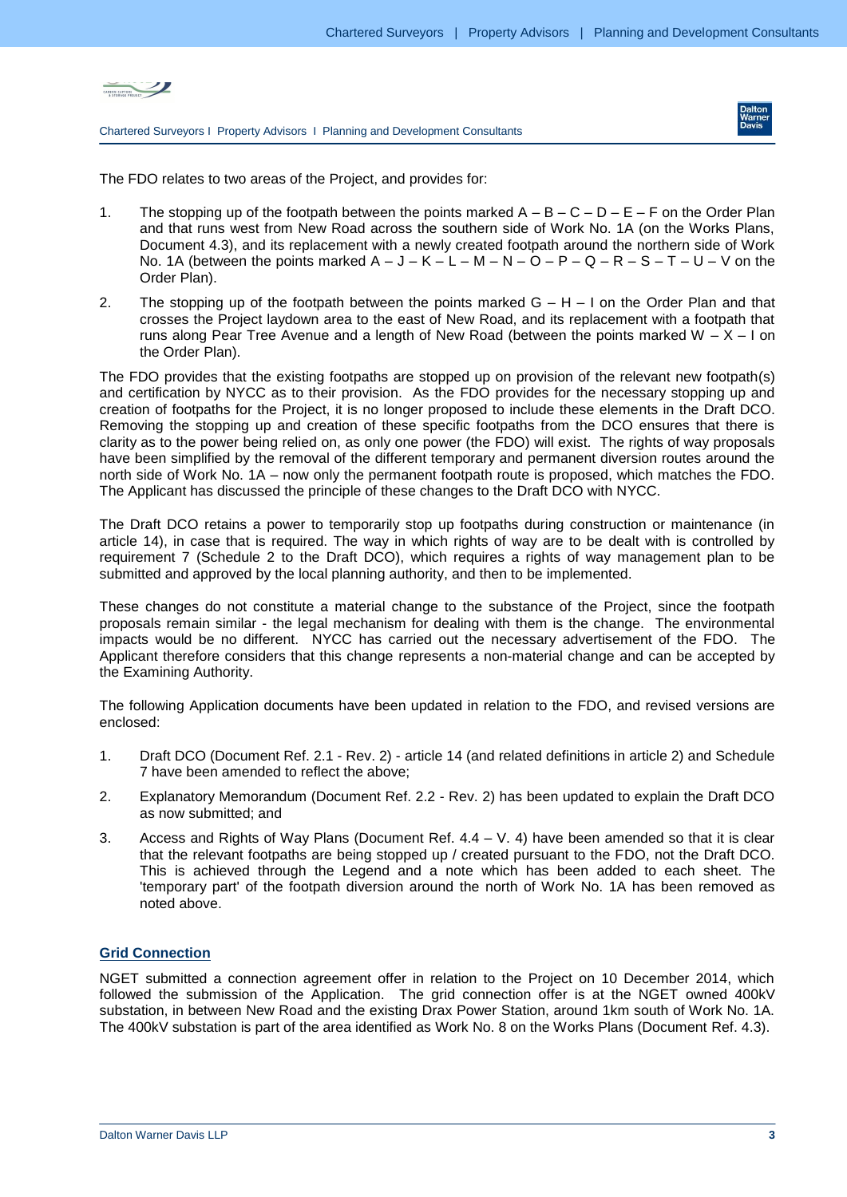



The FDO relates to two areas of the Project, and provides for:

- 1. The stopping up of the footpath between the points marked  $A B C D E F$  on the Order Plan and that runs west from New Road across the southern side of Work No. 1A (on the Works Plans, Document 4.3), and its replacement with a newly created footpath around the northern side of Work No. 1A (between the points marked  $A - J - K - L - M - N - Q - P - Q - R - S - T - U - V$  on the Order Plan).
- 2. The stopping up of the footpath between the points marked  $G H I$  on the Order Plan and that crosses the Project laydown area to the east of New Road, and its replacement with a footpath that runs along Pear Tree Avenue and a length of New Road (between the points marked W  $- X - I$  on the Order Plan).

The FDO provides that the existing footpaths are stopped up on provision of the relevant new footpath(s) and certification by NYCC as to their provision. As the FDO provides for the necessary stopping up and creation of footpaths for the Project, it is no longer proposed to include these elements in the Draft DCO. Removing the stopping up and creation of these specific footpaths from the DCO ensures that there is clarity as to the power being relied on, as only one power (the FDO) will exist. The rights of way proposals have been simplified by the removal of the different temporary and permanent diversion routes around the north side of Work No. 1A – now only the permanent footpath route is proposed, which matches the FDO. The Applicant has discussed the principle of these changes to the Draft DCO with NYCC.

The Draft DCO retains a power to temporarily stop up footpaths during construction or maintenance (in article 14), in case that is required. The way in which rights of way are to be dealt with is controlled by requirement 7 (Schedule 2 to the Draft DCO), which requires a rights of way management plan to be submitted and approved by the local planning authority, and then to be implemented.

These changes do not constitute a material change to the substance of the Project, since the footpath proposals remain similar - the legal mechanism for dealing with them is the change. The environmental impacts would be no different. NYCC has carried out the necessary advertisement of the FDO. The Applicant therefore considers that this change represents a non-material change and can be accepted by the Examining Authority.

The following Application documents have been updated in relation to the FDO, and revised versions are enclosed:

- 1. Draft DCO (Document Ref. 2.1 Rev. 2) article 14 (and related definitions in article 2) and Schedule 7 have been amended to reflect the above;
- 2. Explanatory Memorandum (Document Ref. 2.2 Rev. 2) has been updated to explain the Draft DCO as now submitted; and
- 3. Access and Rights of Way Plans (Document Ref.  $4.4 V$ . 4) have been amended so that it is clear that the relevant footpaths are being stopped up / created pursuant to the FDO, not the Draft DCO. This is achieved through the Legend and a note which has been added to each sheet. The 'temporary part' of the footpath diversion around the north of Work No. 1A has been removed as noted above.

# **Grid Connection**

NGET submitted a connection agreement offer in relation to the Project on 10 December 2014, which followed the submission of the Application. The grid connection offer is at the NGET owned 400kV substation, in between New Road and the existing Drax Power Station, around 1km south of Work No. 1A. The 400kV substation is part of the area identified as Work No. 8 on the Works Plans (Document Ref. 4.3).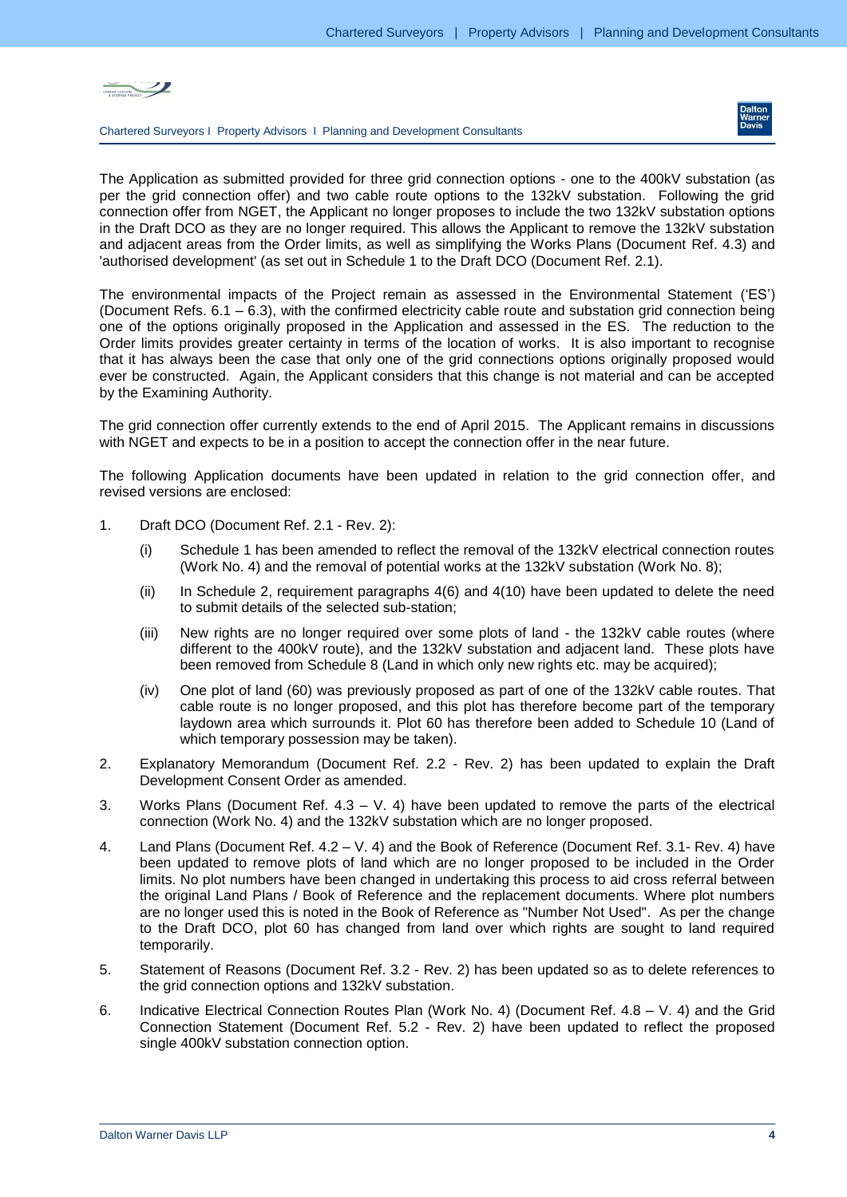



The Application as submitted provided for three grid connection options - one to the 400kV substation (as per the grid connection offer) and two cable route options to the 132kV substation. Following the grid connection offer from NGET, the Applicant no longer proposes to include the two 132kV substation options in the Draft DCO as they are no longer required. This allows the Applicant to remove the 132kV substation and adjacent areas from the Order limits, as well as simplifying the Works Plans (Document Ref. 4.3) and 'authorised development' (as set out in Schedule 1 to the Draft DCO (Document Ref. 2.1).

The environmental impacts of the Project remain as assessed in the Environmental Statement ('ES') (Document Refs. 6.1 – 6.3), with the confirmed electricity cable route and substation grid connection being one of the options originally proposed in the Application and assessed in the ES. The reduction to the Order limits provides greater certainty in terms of the location of works. It is also important to recognise that it has always been the case that only one of the grid connections options originally proposed would ever be constructed. Again, the Applicant considers that this change is not material and can be accepted by the Examining Authority.

The grid connection offer currently extends to the end of April 2015. The Applicant remains in discussions with NGET and expects to be in a position to accept the connection offer in the near future.

The following Application documents have been updated in relation to the grid connection offer, and revised versions are enclosed:

- 1. Draft DCO (Document Ref. 2.1 Rev. 2):
	- (i) Schedule 1 has been amended to reflect the removal of the 132kV electrical connection routes (Work No. 4) and the removal of potential works at the 132kV substation (Work No. 8);
	- (ii) In Schedule 2, requirement paragraphs 4(6) and 4(10) have been updated to delete the need to submit details of the selected sub-station;
	- (iii) New rights are no longer required over some plots of land the 132kV cable routes (where different to the 400kV route), and the 132kV substation and adjacent land. These plots have been removed from Schedule 8 (Land in which only new rights etc. may be acquired);
	- (iv) One plot of land (60) was previously proposed as part of one of the 132kV cable routes. That cable route is no longer proposed, and this plot has therefore become part of the temporary laydown area which surrounds it. Plot 60 has therefore been added to Schedule 10 (Land of which temporary possession may be taken).
- 2. Explanatory Memorandum (Document Ref. 2.2 Rev. 2) has been updated to explain the Draft Development Consent Order as amended.
- 3. Works Plans (Document Ref.  $4.3 V$ . 4) have been updated to remove the parts of the electrical connection (Work No. 4) and the 132kV substation which are no longer proposed.
- 4. Land Plans (Document Ref. 4.2 V. 4) and the Book of Reference (Document Ref. 3.1- Rev. 4) have been updated to remove plots of land which are no longer proposed to be included in the Order limits. No plot numbers have been changed in undertaking this process to aid cross referral between the original Land Plans / Book of Reference and the replacement documents. Where plot numbers are no longer used this is noted in the Book of Reference as "Number Not Used". As per the change to the Draft DCO, plot 60 has changed from land over which rights are sought to land required temporarily.
- 5. Statement of Reasons (Document Ref. 3.2 Rev. 2) has been updated so as to delete references to the grid connection options and 132kV substation.
- 6. Indicative Electrical Connection Routes Plan (Work No. 4) (Document Ref. 4.8 V. 4) and the Grid Connection Statement (Document Ref. 5.2 - Rev. 2) have been updated to reflect the proposed single 400kV substation connection option.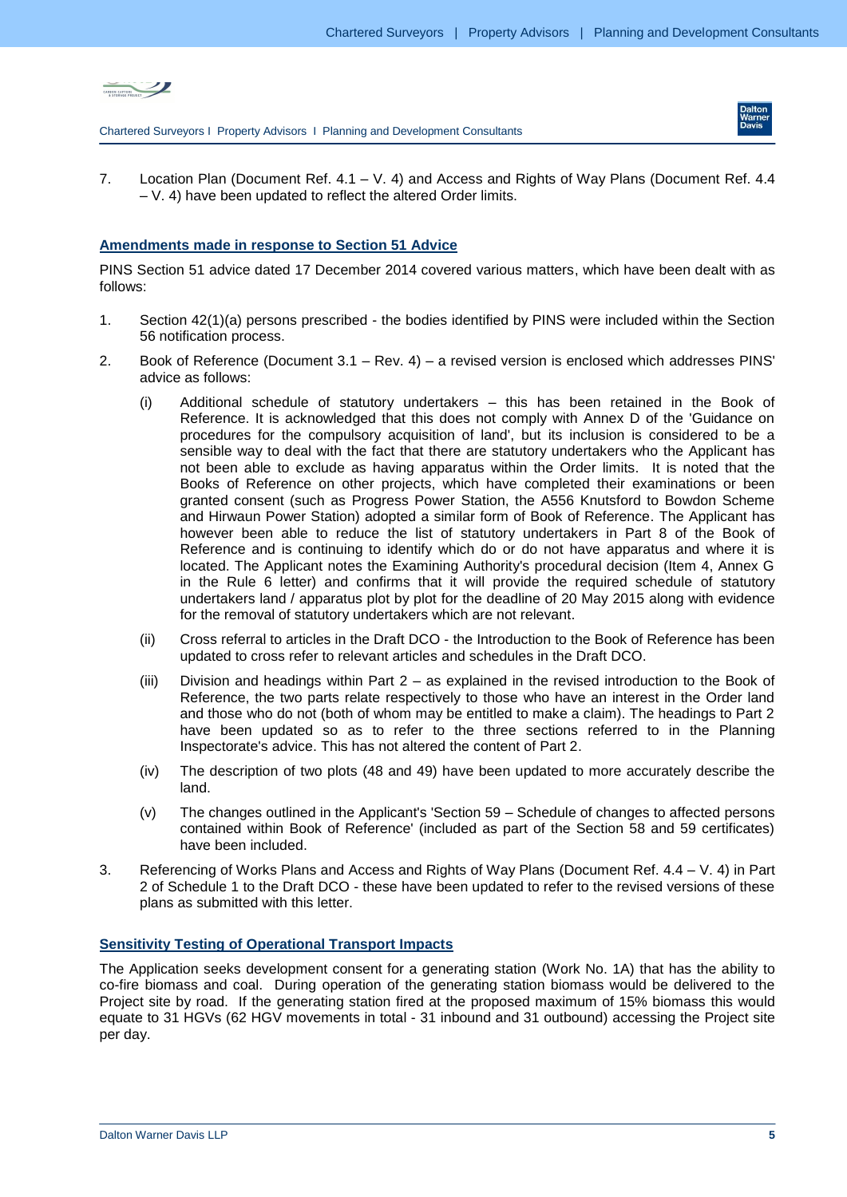



7. Location Plan (Document Ref. 4.1 – V. 4) and Access and Rights of Way Plans (Document Ref. 4.4 – V. 4) have been updated to reflect the altered Order limits.

### **Amendments made in response to Section 51 Advice**

PINS Section 51 advice dated 17 December 2014 covered various matters, which have been dealt with as follows:

- 1. Section 42(1)(a) persons prescribed the bodies identified by PINS were included within the Section 56 notification process.
- 2. Book of Reference (Document 3.1 Rev. 4) a revised version is enclosed which addresses PINS' advice as follows:
	- (i) Additional schedule of statutory undertakers this has been retained in the Book of Reference. It is acknowledged that this does not comply with Annex D of the 'Guidance on procedures for the compulsory acquisition of land', but its inclusion is considered to be a sensible way to deal with the fact that there are statutory undertakers who the Applicant has not been able to exclude as having apparatus within the Order limits. It is noted that the Books of Reference on other projects, which have completed their examinations or been granted consent (such as Progress Power Station, the A556 Knutsford to Bowdon Scheme and Hirwaun Power Station) adopted a similar form of Book of Reference. The Applicant has however been able to reduce the list of statutory undertakers in Part 8 of the Book of Reference and is continuing to identify which do or do not have apparatus and where it is located. The Applicant notes the Examining Authority's procedural decision (Item 4, Annex G in the Rule 6 letter) and confirms that it will provide the required schedule of statutory undertakers land / apparatus plot by plot for the deadline of 20 May 2015 along with evidence for the removal of statutory undertakers which are not relevant.
	- (ii) Cross referral to articles in the Draft DCO the Introduction to the Book of Reference has been updated to cross refer to relevant articles and schedules in the Draft DCO.
	- (iii) Division and headings within Part 2 as explained in the revised introduction to the Book of Reference, the two parts relate respectively to those who have an interest in the Order land and those who do not (both of whom may be entitled to make a claim). The headings to Part 2 have been updated so as to refer to the three sections referred to in the Planning Inspectorate's advice. This has not altered the content of Part 2.
	- (iv) The description of two plots (48 and 49) have been updated to more accurately describe the land.
	- (v) The changes outlined in the Applicant's 'Section 59 Schedule of changes to affected persons contained within Book of Reference' (included as part of the Section 58 and 59 certificates) have been included.
- 3. Referencing of Works Plans and Access and Rights of Way Plans (Document Ref. 4.4 V. 4) in Part 2 of Schedule 1 to the Draft DCO - these have been updated to refer to the revised versions of these plans as submitted with this letter.

#### **Sensitivity Testing of Operational Transport Impacts**

The Application seeks development consent for a generating station (Work No. 1A) that has the ability to co-fire biomass and coal. During operation of the generating station biomass would be delivered to the Project site by road. If the generating station fired at the proposed maximum of 15% biomass this would equate to 31 HGVs (62 HGV movements in total - 31 inbound and 31 outbound) accessing the Project site per day.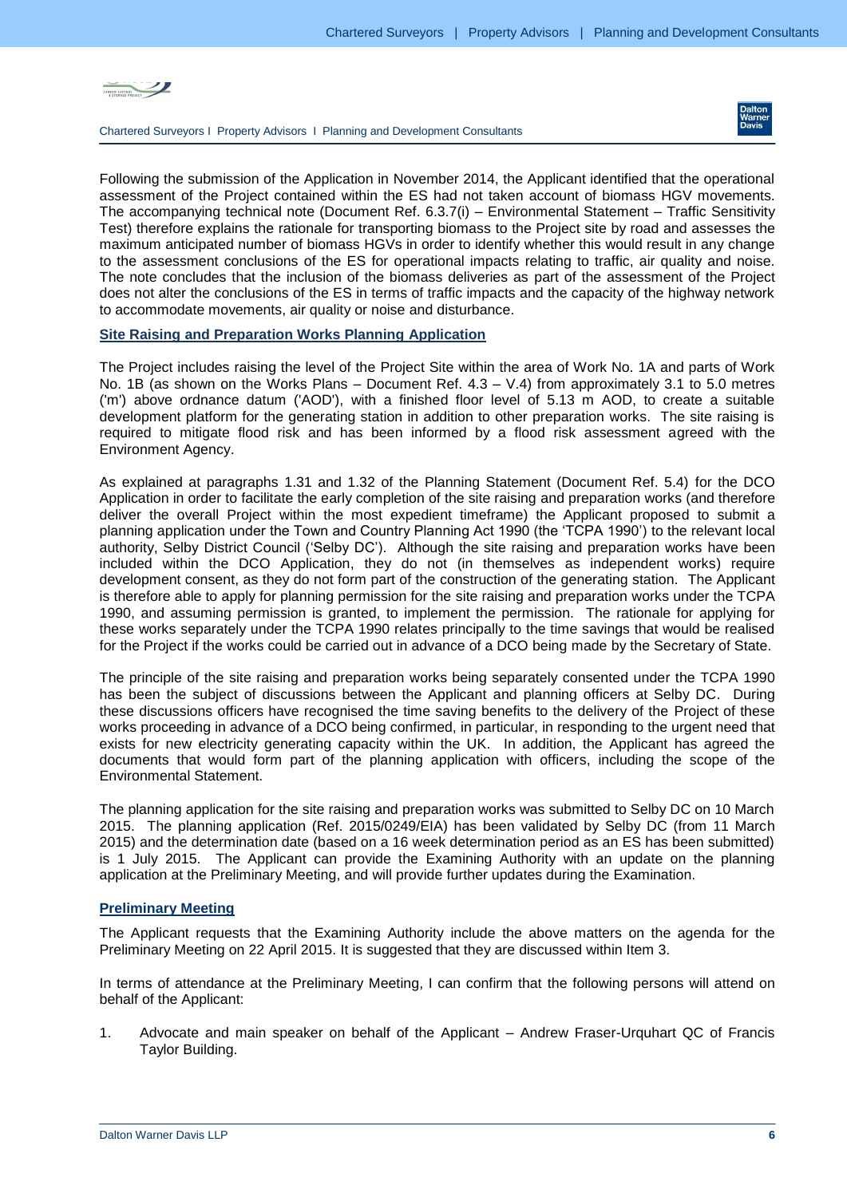



Following the submission of the Application in November 2014, the Applicant identified that the operational assessment of the Project contained within the ES had not taken account of biomass HGV movements. The accompanying technical note (Document Ref. 6.3.7(i) – Environmental Statement – Traffic Sensitivity Test) therefore explains the rationale for transporting biomass to the Project site by road and assesses the maximum anticipated number of biomass HGVs in order to identify whether this would result in any change to the assessment conclusions of the ES for operational impacts relating to traffic, air quality and noise. The note concludes that the inclusion of the biomass deliveries as part of the assessment of the Project does not alter the conclusions of the ES in terms of traffic impacts and the capacity of the highway network to accommodate movements, air quality or noise and disturbance.

#### **Site Raising and Preparation Works Planning Application**

The Project includes raising the level of the Project Site within the area of Work No. 1A and parts of Work No. 1B (as shown on the Works Plans – Document Ref. 4.3 – V.4) from approximately 3.1 to 5.0 metres ('m') above ordnance datum ('AOD'), with a finished floor level of 5.13 m AOD, to create a suitable development platform for the generating station in addition to other preparation works. The site raising is required to mitigate flood risk and has been informed by a flood risk assessment agreed with the Environment Agency.

As explained at paragraphs 1.31 and 1.32 of the Planning Statement (Document Ref. 5.4) for the DCO Application in order to facilitate the early completion of the site raising and preparation works (and therefore deliver the overall Project within the most expedient timeframe) the Applicant proposed to submit a planning application under the Town and Country Planning Act 1990 (the 'TCPA 1990') to the relevant local authority, Selby District Council ('Selby DC'). Although the site raising and preparation works have been included within the DCO Application, they do not (in themselves as independent works) require development consent, as they do not form part of the construction of the generating station. The Applicant is therefore able to apply for planning permission for the site raising and preparation works under the TCPA 1990, and assuming permission is granted, to implement the permission. The rationale for applying for these works separately under the TCPA 1990 relates principally to the time savings that would be realised for the Project if the works could be carried out in advance of a DCO being made by the Secretary of State.

The principle of the site raising and preparation works being separately consented under the TCPA 1990 has been the subject of discussions between the Applicant and planning officers at Selby DC. During these discussions officers have recognised the time saving benefits to the delivery of the Project of these works proceeding in advance of a DCO being confirmed, in particular, in responding to the urgent need that exists for new electricity generating capacity within the UK. In addition, the Applicant has agreed the documents that would form part of the planning application with officers, including the scope of the Environmental Statement.

The planning application for the site raising and preparation works was submitted to Selby DC on 10 March 2015. The planning application (Ref. 2015/0249/EIA) has been validated by Selby DC (from 11 March 2015) and the determination date (based on a 16 week determination period as an ES has been submitted) is 1 July 2015. The Applicant can provide the Examining Authority with an update on the planning application at the Preliminary Meeting, and will provide further updates during the Examination.

#### **Preliminary Meeting**

The Applicant requests that the Examining Authority include the above matters on the agenda for the Preliminary Meeting on 22 April 2015. It is suggested that they are discussed within Item 3.

In terms of attendance at the Preliminary Meeting, I can confirm that the following persons will attend on behalf of the Applicant:

1. Advocate and main speaker on behalf of the Applicant – Andrew Fraser-Urquhart QC of Francis Taylor Building.